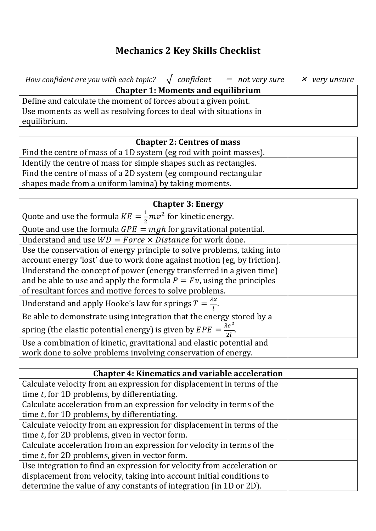## **Mechanics 2 Key Skills Checklist**

| How confident are you with each topic? $\sqrt{\ }$ confident $-\ \text{not}$ very sure $\times$ very unsure |  |
|-------------------------------------------------------------------------------------------------------------|--|
| <b>Chapter 1: Moments and equilibrium</b>                                                                   |  |
| Define and calculate the moment of forces about a given point.                                              |  |
| Use moments as well as resolving forces to deal with situations in                                          |  |
| equilibrium.                                                                                                |  |

| <b>Chapter 2: Centres of mass</b>                                  |  |
|--------------------------------------------------------------------|--|
| Find the centre of mass of a 1D system (eg rod with point masses). |  |
| Identify the centre of mass for simple shapes such as rectangles.  |  |
| Find the centre of mass of a 2D system (eg compound rectangular    |  |
| shapes made from a uniform lamina) by taking moments.              |  |

| <b>Chapter 3: Energy</b>                                                           |  |  |
|------------------------------------------------------------------------------------|--|--|
| Quote and use the formula $KE = \frac{1}{2}mv^2$ for kinetic energy.               |  |  |
| Quote and use the formula $GPE = mgh$ for gravitational potential.                 |  |  |
| Understand and use $WD = Force \times Distance$ for work done.                     |  |  |
| Use the conservation of energy principle to solve problems, taking into            |  |  |
| account energy 'lost' due to work done against motion (eg, by friction).           |  |  |
| Understand the concept of power (energy transferred in a given time)               |  |  |
| and be able to use and apply the formula $P = Fv$ , using the principles           |  |  |
| of resultant forces and motive forces to solve problems.                           |  |  |
| Understand and apply Hooke's law for springs $T = \frac{\lambda x}{\lambda}$ .     |  |  |
| Be able to demonstrate using integration that the energy stored by a               |  |  |
| spring (the elastic potential energy) is given by $EPE = \frac{\lambda e^2}{2l}$ . |  |  |
| Use a combination of kinetic, gravitational and elastic potential and              |  |  |
| work done to solve problems involving conservation of energy.                      |  |  |

| <b>Chapter 4: Kinematics and variable acceleration</b>                  |  |
|-------------------------------------------------------------------------|--|
| Calculate velocity from an expression for displacement in terms of the  |  |
| time $t$ , for 1D problems, by differentiating.                         |  |
| Calculate acceleration from an expression for velocity in terms of the  |  |
| time $t$ , for 1D problems, by differentiating.                         |  |
| Calculate velocity from an expression for displacement in terms of the  |  |
| time $t$ , for 2D problems, given in vector form.                       |  |
| Calculate acceleration from an expression for velocity in terms of the  |  |
| time $t$ , for 2D problems, given in vector form.                       |  |
| Use integration to find an expression for velocity from acceleration or |  |
| displacement from velocity, taking into account initial conditions to   |  |
| determine the value of any constants of integration (in 1D or 2D).      |  |